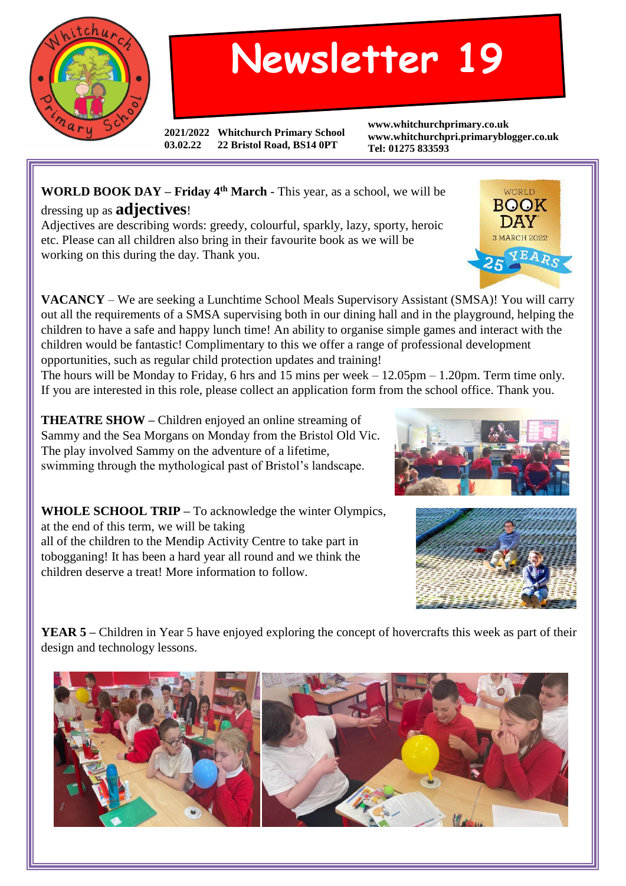

## **Newsletter 19**

**2021/2022 Whitchurch Primary School 03.02.22 22 Bristol Road, BS14 0PT**

**www.whitchurchprimary.co.uk www.whitchurchpri.primaryblogger.co.uk Tel: 01275 833593**

## **WORLD BOOK DAY – Friday 4th March** - This year, as a school, we will be dressing up as **adjectives**!

Adjectives are describing words: greedy, colourful, sparkly, lazy, sporty, heroic etc. Please can all children also bring in their favourite book as we will be working on this during the day. Thank you.

**VACANCY** – We are seeking a Lunchtime School Meals Supervisory Assistant (SMSA)! You will carry out all the requirements of a SMSA supervising both in our dining hall and in the playground, helping the children to have a safe and happy lunch time! An ability to organise simple games and interact with the children would be fantastic! Complimentary to this we offer a range of professional development opportunities, such as regular child protection updates and training!

The hours will be Monday to Friday, 6 hrs and 15 mins per week – 12.05pm – 1.20pm. Term time only. If you are interested in this role, please collect an application form from the school office. Thank you.

**THEATRE SHOW –** Children enjoyed an online streaming of Sammy and the Sea Morgans on Monday from the Bristol Old Vic. The play involved Sammy on the adventure of a lifetime, swimming through the mythological past of Bristol's landscape.

**WHOLE SCHOOL TRIP –** To acknowledge the winter Olympics, at the end of this term, we will be taking all of the children to the Mendip Activity Centre to take part in tobogganing! It has been a hard year all round and we think the children deserve a treat! More information to follow.

**YEAR 5** – Children in Year 5 have enjoyed exploring the concept of hovercrafts this week as part of their design and technology lessons.